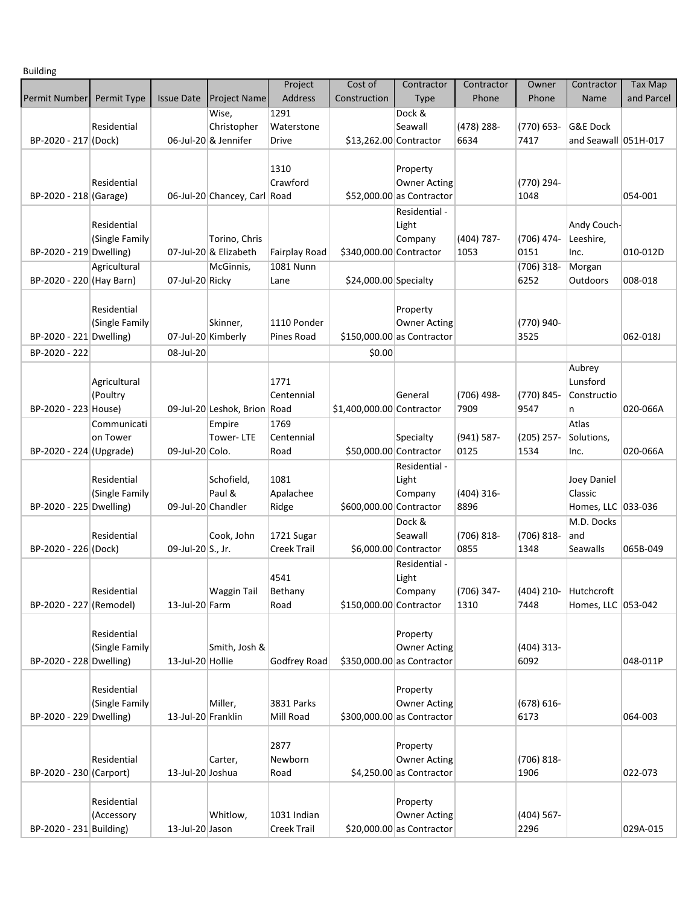Building

| . <u>.</u>               |                         |                    |                                | Project                   | Cost of                   | Contractor                                          | Contractor         | Owner              | Contractor           | <b>Tax Map</b> |
|--------------------------|-------------------------|--------------------|--------------------------------|---------------------------|---------------------------|-----------------------------------------------------|--------------------|--------------------|----------------------|----------------|
| Permit Number            | Permit Type             | <b>Issue Date</b>  | Project Name                   | Address                   | Construction              | <b>Type</b>                                         | Phone              | Phone              | Name                 | and Parcel     |
|                          |                         |                    | Wise,                          | 1291                      |                           | Dock &                                              |                    |                    |                      |                |
|                          | Residential             |                    | Christopher                    | Waterstone                |                           | Seawall                                             | (478) 288-         | (770) 653-         | <b>G&amp;E Dock</b>  |                |
| BP-2020 - 217 (Dock)     |                         |                    | 06-Jul-20 & Jennifer           | Drive                     | \$13,262.00 Contractor    |                                                     | 6634               | 7417               | and Seawall 051H-017 |                |
|                          |                         |                    |                                |                           |                           |                                                     |                    |                    |                      |                |
|                          |                         |                    |                                | 1310                      |                           | Property                                            |                    |                    |                      |                |
|                          | Residential             |                    |                                | Crawford                  |                           | <b>Owner Acting</b>                                 |                    | (770) 294-         |                      |                |
| BP-2020 - 218 (Garage)   |                         |                    | 06-Jul-20 Chancey, Carl Road   |                           |                           | \$52,000.00 as Contractor                           |                    | 1048               |                      | 054-001        |
|                          |                         |                    |                                |                           |                           | Residential -                                       |                    |                    |                      |                |
|                          | Residential             |                    |                                |                           |                           | Light                                               |                    |                    | Andy Couch-          |                |
|                          | (Single Family          |                    | Torino, Chris                  |                           |                           | Company                                             | (404) 787-         | (706) 474-         | Leeshire,            |                |
| BP-2020 - 219 Dwelling)  |                         |                    | 07-Jul-20 & Elizabeth          | <b>Fairplay Road</b>      | \$340,000.00 Contractor   |                                                     | 1053               | 0151               | Inc.                 | 010-012D       |
|                          | Agricultural            |                    | McGinnis,                      | 1081 Nunn                 |                           |                                                     |                    | $(706)$ 318-       | Morgan               |                |
| BP-2020 - 220 (Hay Barn) |                         | 07-Jul-20 Ricky    |                                | Lane                      | $$24,000.00$ Specialty    |                                                     |                    | 6252               | Outdoors             | 008-018        |
|                          |                         |                    |                                |                           |                           |                                                     |                    |                    |                      |                |
|                          | Residential             |                    |                                |                           |                           | Property                                            |                    |                    |                      |                |
| BP-2020 - 221 Dwelling)  | (Single Family          |                    | Skinner,<br>07-Jul-20 Kimberly | 1110 Ponder<br>Pines Road |                           | <b>Owner Acting</b><br>$$150,000.00 $ as Contractor |                    | (770) 940-<br>3525 |                      | 062-018J       |
|                          |                         |                    |                                |                           |                           |                                                     |                    |                    |                      |                |
| BP-2020 - 222            |                         | 08-Jul-20          |                                |                           | \$0.00                    |                                                     |                    |                    |                      |                |
|                          |                         |                    |                                |                           |                           |                                                     |                    |                    | Aubrey               |                |
|                          | Agricultural            |                    |                                | 1771<br>Centennial        |                           |                                                     |                    |                    | Lunsford             |                |
| BP-2020 - 223 House)     | (Poultry                |                    | 09-Jul-20 Leshok, Brion Road   |                           |                           | General                                             | (706) 498-<br>7909 | (770) 845-<br>9547 | Constructio<br>n     | 020-066A       |
|                          |                         |                    |                                | 1769                      | \$1,400,000.00 Contractor |                                                     |                    |                    | Atlas                |                |
|                          | Communicati<br>on Tower |                    | Empire<br>Tower-LTE            | Centennial                |                           | Specialty                                           | $(941) 587 -$      | $(205)$ 257-       | Solutions,           |                |
| BP-2020 - 224 (Upgrade)  |                         | 09-Jul-20 Colo.    |                                | Road                      | \$50,000.00 Contractor    |                                                     | 0125               | 1534               | Inc.                 | 020-066A       |
|                          |                         |                    |                                |                           |                           | Residential -                                       |                    |                    |                      |                |
|                          | Residential             |                    | Schofield,                     | 1081                      |                           | Light                                               |                    |                    | Joey Daniel          |                |
|                          | (Single Family          |                    | Paul &                         | Apalachee                 |                           | Company                                             | $(404)$ 316-       |                    | Classic              |                |
| BP-2020 - 225 Dwelling)  |                         |                    | 09-Jul-20 Chandler             | Ridge                     | \$600,000.00 Contractor   |                                                     | 8896               |                    | Homes, LLC 033-036   |                |
|                          |                         |                    |                                |                           |                           | Dock &                                              |                    |                    | M.D. Docks           |                |
|                          | Residential             |                    | Cook, John                     | 1721 Sugar                |                           | Seawall                                             | $(706) 818 -$      | $(706) 818 -$      | and                  |                |
| BP-2020 - 226 (Dock)     |                         | 09-Jul-20 S., Jr.  |                                | <b>Creek Trail</b>        |                           | \$6,000.00 Contractor                               | 0855               | 1348               | Seawalls             | 065B-049       |
|                          |                         |                    |                                |                           |                           | Residential -                                       |                    |                    |                      |                |
|                          |                         |                    |                                | 4541                      |                           | Light                                               |                    |                    |                      |                |
|                          | Residential             |                    | <b>Waggin Tail</b>             | Bethany                   |                           | Company                                             | (706) 347-         | $(404)$ 210-       | Hutchcroft           |                |
| BP-2020 - 227 (Remodel)  |                         | 13-Jul-20 Farm     |                                | Road                      | \$150,000.00 Contractor   |                                                     | 1310               | 7448               | Homes, LLC 053-042   |                |
|                          |                         |                    |                                |                           |                           |                                                     |                    |                    |                      |                |
|                          | Residential             |                    |                                |                           |                           | Property                                            |                    |                    |                      |                |
|                          | (Single Family          |                    | Smith, Josh &                  |                           |                           | <b>Owner Acting</b>                                 |                    | $(404)$ 313-       |                      |                |
| BP-2020 - 228 Dwelling)  |                         | 13-Jul-20 Hollie   |                                | <b>Godfrey Road</b>       |                           | \$350,000.00 as Contractor                          |                    | 6092               |                      | 048-011P       |
|                          |                         |                    |                                |                           |                           |                                                     |                    |                    |                      |                |
|                          | Residential             |                    |                                |                           |                           | Property                                            |                    |                    |                      |                |
|                          | (Single Family          |                    | Miller,                        | 3831 Parks                |                           | <b>Owner Acting</b>                                 |                    | $(678) 616 -$      |                      |                |
| BP-2020 - 229 Dwelling)  |                         | 13-Jul-20 Franklin |                                | Mill Road                 |                           | $$300,000.00$ as Contractor                         |                    | 6173               |                      | 064-003        |
|                          |                         |                    |                                |                           |                           |                                                     |                    |                    |                      |                |
|                          | Residential             |                    | Carter,                        | 2877<br>Newborn           |                           | Property<br><b>Owner Acting</b>                     |                    | (706) 818-         |                      |                |
| BP-2020 - 230 (Carport)  |                         | 13-Jul-20 Joshua   |                                | Road                      |                           | $$4,250.00$ as Contractor                           |                    | 1906               |                      | 022-073        |
|                          |                         |                    |                                |                           |                           |                                                     |                    |                    |                      |                |
|                          | Residential             |                    |                                |                           |                           | Property                                            |                    |                    |                      |                |
|                          | (Accessory              |                    | Whitlow,                       | 1031 Indian               |                           | <b>Owner Acting</b>                                 |                    | $(404)$ 567-       |                      |                |
| BP-2020 - 231 Building)  |                         | 13-Jul-20 Jason    |                                | <b>Creek Trail</b>        |                           | $$20,000.00$ as Contractor                          |                    | 2296               |                      | 029A-015       |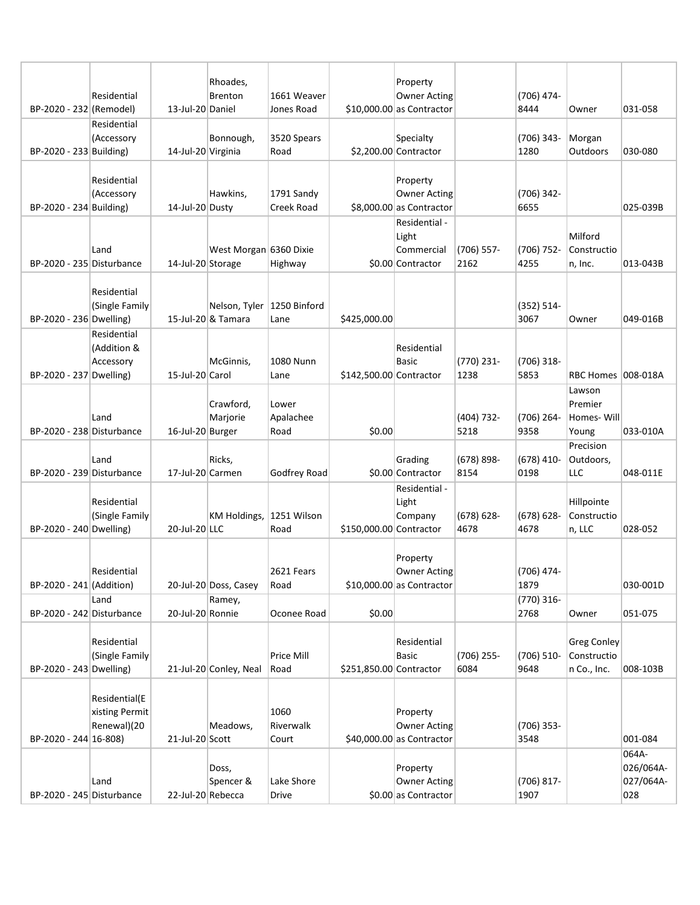| BP-2020 - 232 (Remodel)   | Residential                                    | 13-Jul-20 Daniel   | Rhoades,<br>Brenton                                | 1661 Weaver<br>Jones Road  |                         | Property<br><b>Owner Acting</b><br>$$10,000.00$ as Contractor |                       | (706) 474-<br>8444    | Owner                                     | 031-058                                |
|---------------------------|------------------------------------------------|--------------------|----------------------------------------------------|----------------------------|-------------------------|---------------------------------------------------------------|-----------------------|-----------------------|-------------------------------------------|----------------------------------------|
| BP-2020 - 233 Building)   | Residential<br>(Accessory                      | 14-Jul-20 Virginia | Bonnough,                                          | 3520 Spears<br>Road        |                         | Specialty<br>\$2,200.00 Contractor                            |                       | $(706)$ 343-<br>1280  | Morgan<br>Outdoors                        | 030-080                                |
| BP-2020 - 234 Building)   | Residential<br>(Accessory                      | 14-Jul-20 Dusty    | Hawkins,                                           | 1791 Sandy<br>Creek Road   |                         | Property<br><b>Owner Acting</b><br>\$8,000.00 as Contractor   |                       | (706) 342-<br>6655    |                                           | 025-039B                               |
| BP-2020 - 235 Disturbance | Land                                           | 14-Jul-20 Storage  | West Morgan 6360 Dixie                             | Highway                    |                         | Residential -<br>Light<br>Commercial<br>\$0.00 Contractor     | (706) 557-<br>2162    | $(706)$ 752-<br>4255  | Milford<br>Constructio<br>n, Inc.         | 013-043B                               |
| BP-2020 - 236 Dwelling)   | Residential<br>(Single Family                  |                    | Nelson, Tyler   1250 Binford<br>15-Jul-20 & Tamara | Lane                       | \$425,000.00            |                                                               |                       | (352) 514-<br>3067    | Owner                                     | 049-016B                               |
| BP-2020 - 237 Dwelling)   | Residential<br>(Addition &<br>Accessory        | 15-Jul-20 Carol    | McGinnis,                                          | 1080 Nunn<br>Lane          | \$142,500.00 Contractor | Residential<br>Basic                                          | (770) 231-<br>1238    | $(706)$ 318-<br>5853  | RBC Homes 008-018A                        |                                        |
| BP-2020 - 238 Disturbance | Land                                           | 16-Jul-20 Burger   | Crawford,<br>Marjorie                              | Lower<br>Apalachee<br>Road | \$0.00                  |                                                               | (404) 732-<br>5218    | $(706)$ 264-<br>9358  | Lawson<br>Premier<br>Homes-Will<br>Young  | 033-010A                               |
| BP-2020 - 239 Disturbance | Land                                           | 17-Jul-20 Carmen   | Ricks,                                             | Godfrey Road               |                         | Grading<br>\$0.00 Contractor                                  | $(678) 898 -$<br>8154 | $(678)$ 410-<br>0198  | Precision<br>Outdoors,<br>LLC             | 048-011E                               |
| BP-2020 - 240 Dwelling)   | Residential<br>(Single Family                  | 20-Jul-20 LLC      | KM Holdings,                                       | 1251 Wilson<br>Road        | \$150,000.00 Contractor | Residential -<br>Light<br>Company                             | $(678) 628 -$<br>4678 | $(678) 628 -$<br>4678 | Hillpointe<br>Constructio<br>n, LLC       | 028-052                                |
| BP-2020 - 241 (Addition)  | Residential                                    |                    | 20-Jul-20 Doss, Casey                              | 2621 Fears<br>Road         |                         | Property<br><b>Owner Acting</b><br>$$10,000.00$ as Contractor |                       | (706) 474-<br>1879    |                                           | 030-001D                               |
| BP-2020 - 242 Disturbance | Land                                           | 20-Jul-20 Ronnie   | Ramey,                                             | Oconee Road                | \$0.00                  |                                                               |                       | $(770)$ 316-<br>2768  | Owner                                     | 051-075                                |
| BP-2020 - 243 Dwelling)   | Residential<br>(Single Family                  |                    | 21-Jul-20 Conley, Neal                             | Price Mill<br>Road         | \$251,850.00 Contractor | Residential<br><b>Basic</b>                                   | $(706)$ 255-<br>6084  | $(706)$ 510-<br>9648  | Greg Conley<br>Constructio<br>n Co., Inc. | 008-103B                               |
| BP-2020 - 244 16-808)     | Residential(E<br>xisting Permit<br>Renewal)(20 | 21-Jul-20 Scott    | Meadows,                                           | 1060<br>Riverwalk<br>Court |                         | Property<br><b>Owner Acting</b><br>$$40,000.00$ as Contractor |                       | $(706)$ 353-<br>3548  |                                           | 001-084                                |
| BP-2020 - 245 Disturbance | Land                                           | 22-Jul-20 Rebecca  | Doss,<br>Spencer &                                 | Lake Shore<br>Drive        |                         | Property<br><b>Owner Acting</b><br>\$0.00 as Contractor       |                       | $(706) 817 -$<br>1907 |                                           | 064A-<br>026/064A-<br>027/064A-<br>028 |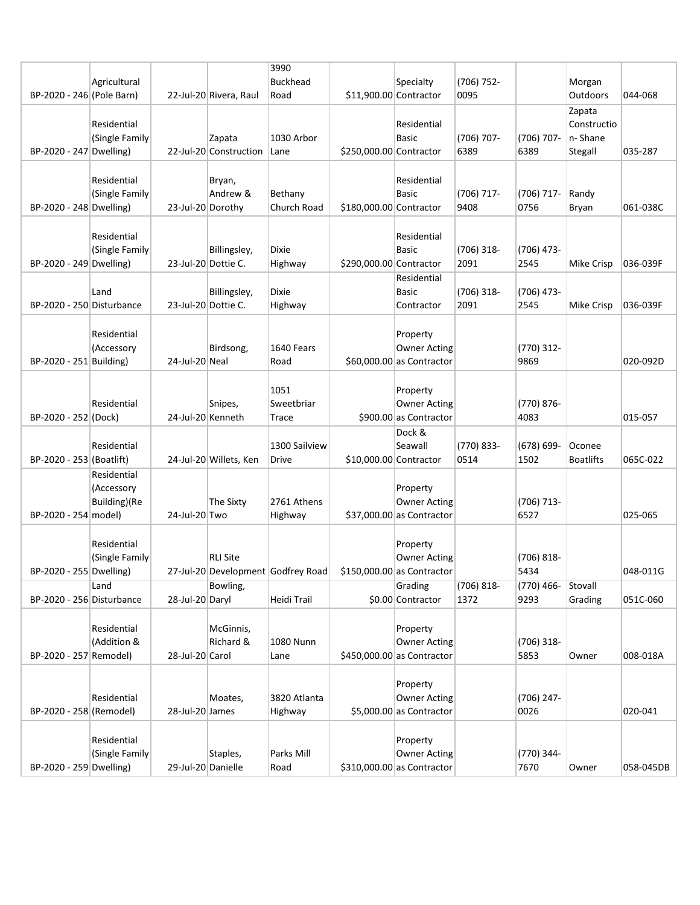|                           |                |                     |                        | 3990                               |                         |                                               |                    |                       |                            |           |
|---------------------------|----------------|---------------------|------------------------|------------------------------------|-------------------------|-----------------------------------------------|--------------------|-----------------------|----------------------------|-----------|
|                           | Agricultural   |                     |                        | <b>Buckhead</b>                    |                         | Specialty                                     | (706) 752-         |                       | Morgan                     |           |
| BP-2020 - 246 (Pole Barn) |                |                     | 22-Jul-20 Rivera, Raul | Road                               | \$11,900.00 Contractor  |                                               | 0095               |                       | Outdoors                   | 044-068   |
|                           |                |                     |                        |                                    |                         |                                               |                    |                       | Zapata                     |           |
|                           | Residential    |                     |                        |                                    |                         | Residential                                   |                    |                       | Constructio                |           |
|                           | (Single Family |                     | Zapata                 | 1030 Arbor                         |                         | <b>Basic</b>                                  | (706) 707-         | $(706)$ 707-          | n-Shane                    |           |
| BP-2020 - 247 Dwelling)   |                |                     | 22-Jul-20 Construction | Lane                               | \$250,000.00 Contractor |                                               | 6389               | 6389                  | Stegall                    | 035-287   |
|                           |                |                     |                        |                                    |                         |                                               |                    |                       |                            |           |
|                           | Residential    |                     | Bryan,                 |                                    |                         | Residential                                   |                    |                       |                            |           |
|                           | (Single Family |                     | Andrew &               | Bethany                            |                         | <b>Basic</b>                                  | (706) 717-         | $(706)$ 717-          | Randy                      |           |
| BP-2020 - 248 Dwelling)   |                | 23-Jul-20 Dorothy   |                        | Church Road                        | \$180,000.00 Contractor |                                               | 9408               | 0756                  | Bryan                      | 061-038C  |
|                           |                |                     |                        |                                    |                         |                                               |                    |                       |                            |           |
|                           | Residential    |                     |                        |                                    |                         | Residential                                   |                    |                       |                            |           |
|                           | (Single Family |                     | Billingsley,           | Dixie                              |                         | <b>Basic</b>                                  | (706) 318-         | (706) 473-            |                            |           |
| BP-2020 - 249 Dwelling)   |                | 23-Jul-20 Dottie C. |                        | Highway                            | \$290,000.00 Contractor |                                               | 2091               | 2545                  | Mike Crisp                 | 036-039F  |
|                           |                |                     |                        |                                    |                         | Residential                                   |                    |                       |                            |           |
|                           | Land           |                     | Billingsley,           | <b>Dixie</b>                       |                         | <b>Basic</b>                                  | $(706)$ 318-       | (706) 473-            |                            |           |
| BP-2020 - 250 Disturbance |                | 23-Jul-20 Dottie C. |                        | Highway                            |                         | Contractor                                    | 2091               | 2545                  | Mike Crisp                 | 036-039F  |
|                           |                |                     |                        |                                    |                         |                                               |                    |                       |                            |           |
|                           | Residential    |                     |                        |                                    |                         | Property                                      |                    |                       |                            |           |
|                           | (Accessory     |                     | Birdsong,              | 1640 Fears                         |                         | <b>Owner Acting</b>                           |                    | (770) 312-            |                            |           |
| BP-2020 - 251 Building)   |                | 24-Jul-20 Neal      |                        | Road                               |                         | $$60,000.00$ as Contractor                    |                    | 9869                  |                            | 020-092D  |
|                           |                |                     |                        |                                    |                         |                                               |                    |                       |                            |           |
|                           |                |                     |                        |                                    |                         |                                               |                    |                       |                            |           |
|                           |                |                     |                        | 1051                               |                         | Property                                      |                    |                       |                            |           |
| BP-2020 - 252 (Dock)      | Residential    | 24-Jul-20 Kenneth   | Snipes,                | Sweetbriar<br>Trace                |                         | <b>Owner Acting</b><br>\$900.00 as Contractor |                    | (770) 876-<br>4083    |                            | 015-057   |
|                           |                |                     |                        |                                    |                         |                                               |                    |                       |                            |           |
|                           |                |                     |                        |                                    |                         | Dock &                                        |                    |                       |                            |           |
|                           | Residential    |                     |                        | 1300 Sailview                      |                         | Seawall                                       | (770) 833-<br>0514 | $(678) 699 -$<br>1502 | Oconee<br><b>Boatlifts</b> | 065C-022  |
| BP-2020 - 253 (Boatlift)  |                |                     | 24-Jul-20 Willets, Ken | Drive                              | \$10,000.00 Contractor  |                                               |                    |                       |                            |           |
|                           | Residential    |                     |                        |                                    |                         |                                               |                    |                       |                            |           |
|                           | (Accessory     |                     |                        |                                    |                         | Property                                      |                    |                       |                            |           |
|                           | Building)(Re   |                     | The Sixty              | 2761 Athens                        |                         | <b>Owner Acting</b>                           |                    | (706) 713-            |                            |           |
| BP-2020 - 254 model)      |                | 24-Jul-20 Two       |                        | Highway                            |                         | $$37,000.00$ as Contractor                    |                    | 6527                  |                            | 025-065   |
|                           |                |                     |                        |                                    |                         |                                               |                    |                       |                            |           |
|                           | Residential    |                     |                        |                                    |                         | Property                                      |                    |                       |                            |           |
|                           | (Single Family |                     | <b>RLI Site</b>        |                                    |                         | <b>Owner Acting</b>                           |                    | $(706) 818 -$         |                            |           |
| BP-2020 - 255 Dwelling)   |                |                     |                        | 27-Jul-20 Development Godfrey Road |                         | $$150,000.00 $ as Contractor                  |                    | 5434                  |                            | 048-011G  |
|                           | Land           |                     | Bowling,               |                                    |                         | Grading                                       | (706) 818-         | (770) 466-            | Stovall                    |           |
| BP-2020 - 256 Disturbance |                | 28-Jul-20 Daryl     |                        | Heidi Trail                        |                         | \$0.00 Contractor                             | 1372               | 9293                  | Grading                    | 051C-060  |
|                           |                |                     |                        |                                    |                         |                                               |                    |                       |                            |           |
|                           | Residential    |                     | McGinnis,              |                                    |                         | Property                                      |                    |                       |                            |           |
|                           | (Addition &    |                     | Richard &              | 1080 Nunn                          |                         | <b>Owner Acting</b>                           |                    | $(706)$ 318-          |                            |           |
| BP-2020 - 257 Remodel)    |                | 28-Jul-20 Carol     |                        | Lane                               |                         | $$450,000.00$ as Contractor                   |                    | 5853                  | Owner                      | 008-018A  |
|                           |                |                     |                        |                                    |                         |                                               |                    |                       |                            |           |
|                           |                |                     |                        |                                    |                         | Property                                      |                    |                       |                            |           |
|                           | Residential    |                     | Moates,                | 3820 Atlanta                       |                         | <b>Owner Acting</b>                           |                    | $(706)$ 247-          |                            |           |
| BP-2020 - 258 (Remodel)   |                | 28-Jul-20 James     |                        | Highway                            |                         | \$5,000.00 as Contractor                      |                    | 0026                  |                            | 020-041   |
|                           |                |                     |                        |                                    |                         |                                               |                    |                       |                            |           |
|                           | Residential    |                     |                        |                                    |                         | Property                                      |                    |                       |                            |           |
|                           | (Single Family |                     | Staples,               | Parks Mill                         |                         | <b>Owner Acting</b>                           |                    | (770) 344-            |                            |           |
| BP-2020 - 259 Dwelling)   |                | 29-Jul-20 Danielle  |                        | Road                               |                         | $$310,000.00$ as Contractor                   |                    | 7670                  | Owner                      | 058-045DB |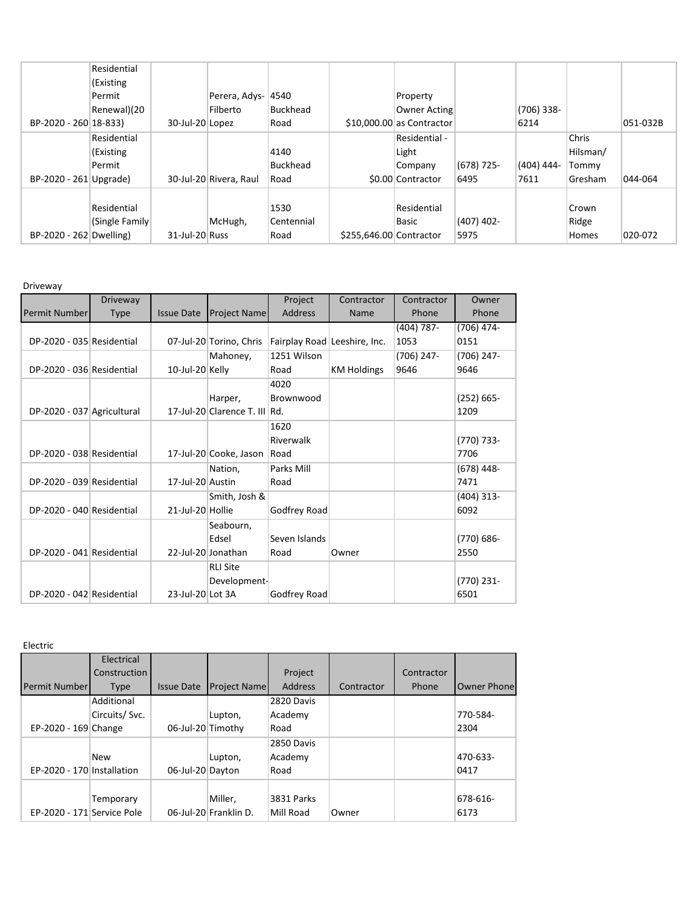|                         | Residential     |                 |                        |                 |                         |                            |              |              |          |          |
|-------------------------|-----------------|-----------------|------------------------|-----------------|-------------------------|----------------------------|--------------|--------------|----------|----------|
|                         | (Existing       |                 |                        |                 |                         |                            |              |              |          |          |
|                         | Permit          |                 | Perera, Adys-          | 4540            |                         | Property                   |              |              |          |          |
|                         | Renewal)(20     |                 | Filberto               | Buckhead        |                         | <b>Owner Acting</b>        |              | $(706)$ 338- |          |          |
| BP-2020 - 260 18-833)   |                 | 30-Jul-20 Lopez |                        | Road            |                         | $$10,000.00$ as Contractor |              | 6214         |          | 051-032B |
|                         | Residential     |                 |                        |                 |                         | Residential -              |              |              | Chris    |          |
|                         | (Existing       |                 |                        | 4140            |                         | Light                      |              |              | Hilsman/ |          |
|                         | Permit          |                 |                        | <b>Buckhead</b> |                         | Company                    | $(678)$ 725- | (404) 444-   | Tommy    |          |
| BP-2020 - 261 Upgrade)  |                 |                 | 30-Jul-20 Rivera, Raul | Road            |                         | \$0.00 Contractor          | 6495         | 7611         | Gresham  | 044-064  |
|                         |                 |                 |                        |                 |                         |                            |              |              |          |          |
|                         | Residential     |                 |                        | 1530            |                         | Residential                |              |              | Crown    |          |
|                         | (Single Family) |                 | McHugh,                | Centennial      |                         | Basic                      | $(407)$ 402- |              | Ridge    |          |
| BP-2020 - 262 Dwelling) |                 | 31-Jul-20 Russ  |                        | Road            | \$255,646.00 Contractor |                            | 5975         |              | Homes    | 020-072  |

Driveway

|                            | Driveway    |                   |                               | Project                      | Contractor         | Contractor   | Owner         |
|----------------------------|-------------|-------------------|-------------------------------|------------------------------|--------------------|--------------|---------------|
| Permit Number              | <b>Type</b> | <b>Issue Date</b> | <b>Project Name</b>           | Address                      | Name               | Phone        | Phone         |
|                            |             |                   |                               |                              |                    | (404) 787-   | (706) 474-    |
| DP-2020 - 035 Residential  |             |                   | 07-Jul-20 Torino, Chris       | Fairplay Road Leeshire, Inc. |                    | 1053         | 0151          |
|                            |             |                   | Mahoney,                      | 1251 Wilson                  |                    | $(706)$ 247- | $(706)$ 247-  |
| DP-2020 - 036 Residential  |             | 10-Jul-20 Kelly   |                               | Road                         | <b>KM Holdings</b> | 9646         | 9646          |
|                            |             |                   |                               | 4020                         |                    |              |               |
|                            |             |                   | Harper,                       | Brownwood                    |                    |              | $(252) 665 -$ |
| DP-2020 - 037 Agricultural |             |                   | 17-Jul-20 Clarence T. III Rd. |                              |                    |              | 1209          |
|                            |             |                   |                               | 1620                         |                    |              |               |
|                            |             |                   |                               | Riverwalk                    |                    |              | $(770) 733 -$ |
| DP-2020 - 038 Residential  |             |                   | 17-Jul-20 Cooke, Jason        | Road                         |                    |              | 7706          |
|                            |             |                   | Nation,                       | Parks Mill                   |                    |              | $(678)$ 448-  |
| DP-2020 - 039 Residential  |             | 17-Jul-20 Austin  |                               | Road                         |                    |              | 7471          |
|                            |             |                   | Smith, Josh &                 |                              |                    |              | $(404)$ 313-  |
| DP-2020 - 040 Residential  |             | 21-Jul-20 Hollie  |                               | Godfrey Road                 |                    |              | 6092          |
|                            |             |                   | Seabourn,                     |                              |                    |              |               |
|                            |             |                   | Edsel                         | Seven Islands                |                    |              | (770) 686-    |
| DP-2020 - 041 Residential  |             |                   | 22-Jul-20 Jonathan            | Road                         | Owner              |              | 2550          |
|                            |             |                   | <b>RLI Site</b>               |                              |                    |              |               |
|                            |             |                   | Development-                  |                              |                    |              | (770) 231-    |
| DP-2020 - 042 Residential  |             | 23-Jul-20 Lot 3A  |                               | Godfrey Road                 |                    |              | 6501          |

Electric

|                            | Electrical    |                   |                       |                |            |            |             |
|----------------------------|---------------|-------------------|-----------------------|----------------|------------|------------|-------------|
|                            | Construction  |                   |                       | Project        |            | Contractor |             |
| <b>Permit Number</b>       | <b>Type</b>   | <b>Issue Date</b> | <b>Project Namel</b>  | <b>Address</b> | Contractor | Phone      | Owner Phone |
|                            | Additional    |                   |                       | 2820 Davis     |            |            |             |
|                            | Circuits/Svc. |                   | Lupton,               | Academy        |            |            | 770-584-    |
| EP-2020 - 169 Change       |               | 06-Jul-20 Timothy |                       | Road           |            |            | 2304        |
|                            |               |                   |                       | 2850 Davis     |            |            |             |
|                            | <b>New</b>    |                   | Lupton,               | Academy        |            |            | 470-633-    |
| EP-2020 - 170 Installation |               | 06-Jul-20 Dayton  |                       | Road           |            |            | 0417        |
|                            |               |                   |                       |                |            |            |             |
|                            | Temporary     |                   | Miller,               | 3831 Parks     |            |            | 678-616-    |
| EP-2020 - 171 Service Pole |               |                   | 06-Jul-20 Franklin D. | Mill Road      | Owner      |            | 6173        |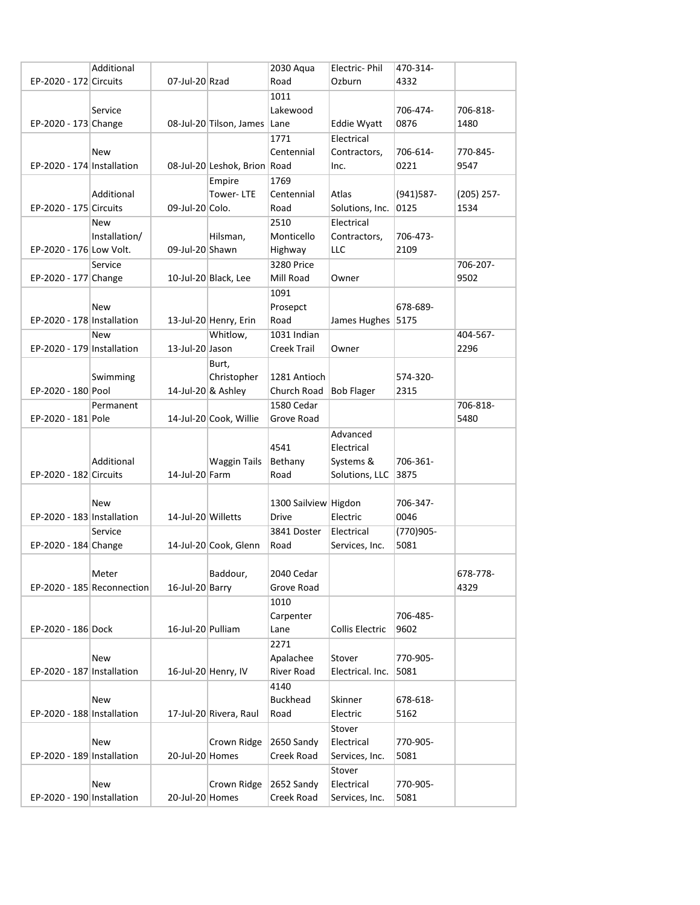|                            | Additional                 |                    |                              | 2030 Aqua                | Electric-Phil                | 470-314-         |              |
|----------------------------|----------------------------|--------------------|------------------------------|--------------------------|------------------------------|------------------|--------------|
| EP-2020 - 172 Circuits     |                            | 07-Jul-20 Rzad     |                              | Road                     | Ozburn                       | 4332             |              |
|                            |                            |                    |                              | 1011                     |                              |                  |              |
|                            | Service                    |                    |                              | Lakewood                 |                              | 706-474-         | 706-818-     |
| EP-2020 - 173 Change       |                            |                    | 08-Jul-20 Tilson, James Lane |                          | Eddie Wyatt                  | 0876             | 1480         |
|                            |                            |                    |                              |                          |                              |                  |              |
|                            |                            |                    |                              | 1771                     | Electrical                   |                  |              |
|                            | <b>New</b>                 |                    |                              | Centennial               | Contractors,                 | 706-614-         | 770-845-     |
| EP-2020 - 174 Installation |                            |                    | 08-Jul-20 Leshok, Brion Road |                          | Inc.                         | 0221             | 9547         |
|                            |                            |                    | Empire                       | 1769                     |                              |                  |              |
|                            | Additional                 |                    | Tower-LTE                    | Centennial               | Atlas                        | (941) 587-       | $(205)$ 257- |
| EP-2020 - 175 Circuits     |                            | 09-Jul-20 Colo.    |                              | Road                     | Solutions, Inc.              | 0125             | 1534         |
|                            | <b>New</b>                 |                    |                              | 2510                     | Electrical                   |                  |              |
|                            | Installation/              |                    | Hilsman,                     | Monticello               | Contractors,                 | 706-473-         |              |
| EP-2020 - 176 Low Volt.    |                            | 09-Jul-20 Shawn    |                              | Highway                  | <b>LLC</b>                   | 2109             |              |
|                            |                            |                    |                              |                          |                              |                  |              |
|                            | Service                    |                    |                              | 3280 Price               |                              |                  | 706-207-     |
| EP-2020 - 177 Change       |                            |                    | 10-Jul-20 Black, Lee         | Mill Road                | Owner                        |                  | 9502         |
|                            |                            |                    |                              | 1091                     |                              |                  |              |
|                            | New                        |                    |                              | Prosepct                 |                              | 678-689-         |              |
| EP-2020 - 178 Installation |                            |                    | 13-Jul-20 Henry, Erin        | Road                     | James Hughes                 | 5175             |              |
|                            | <b>New</b>                 |                    | Whitlow,                     | 1031 Indian              |                              |                  | 404-567-     |
| EP-2020 - 179 Installation |                            | 13-Jul-20 Jason    |                              | Creek Trail              | Owner                        |                  | 2296         |
|                            |                            |                    | Burt,                        |                          |                              |                  |              |
|                            | Swimming                   |                    | Christopher                  | 1281 Antioch             |                              | 574-320-         |              |
|                            |                            |                    |                              |                          |                              |                  |              |
| EP-2020 - 180 Pool         |                            |                    | 14-Jul-20 & Ashley           | Church Road              | <b>Bob Flager</b>            | 2315             |              |
|                            | Permanent                  |                    |                              | 1580 Cedar               |                              |                  | 706-818-     |
| EP-2020 - 181 Pole         |                            |                    | 14-Jul-20 Cook, Willie       | Grove Road               |                              |                  | 5480         |
|                            |                            |                    |                              |                          | Advanced                     |                  |              |
|                            |                            |                    |                              | 4541                     | Electrical                   |                  |              |
|                            | Additional                 |                    | Waggin Tails                 | Bethany                  | Systems &                    | 706-361-         |              |
| EP-2020 - 182 Circuits     |                            | 14-Jul-20 Farm     |                              | Road                     | Solutions, LLC               | 3875             |              |
|                            |                            |                    |                              |                          |                              |                  |              |
|                            | <b>New</b>                 |                    |                              | 1300 Sailview Higdon     |                              | 706-347-         |              |
| EP-2020 - 183 Installation |                            | 14-Jul-20 Willetts |                              | <b>Drive</b>             | Electric                     | 0046             |              |
|                            |                            |                    |                              |                          |                              |                  |              |
|                            | Service                    |                    |                              | 3841 Doster              | Electrical                   | (770)905-        |              |
| EP-2020 - 184 Change       |                            |                    | 14-Jul-20 Cook, Glenn        | Road                     | Services, Inc.               | 5081             |              |
|                            |                            |                    |                              |                          |                              |                  |              |
|                            | Meter                      |                    | Baddour,                     | 2040 Cedar               |                              |                  | 678-778-     |
|                            | EP-2020 - 185 Reconnection | 16-Jul-20 Barry    |                              | Grove Road               |                              |                  | 4329         |
|                            |                            |                    |                              | 1010                     |                              |                  |              |
|                            |                            |                    |                              | Carpenter                |                              | 706-485-         |              |
| EP-2020 - 186 Dock         |                            | 16-Jul-20 Pulliam  |                              | Lane                     | Collis Electric              | 9602             |              |
|                            |                            |                    |                              | 2271                     |                              |                  |              |
|                            |                            |                    |                              |                          | Stover                       | 770-905-         |              |
|                            | New                        |                    |                              | Apalachee                |                              |                  |              |
| EP-2020 - 187 Installation |                            |                    | 16-Jul-20 Henry, IV          | <b>River Road</b>        | Electrical. Inc.             | 5081             |              |
|                            |                            |                    |                              | 4140                     |                              |                  |              |
|                            | New                        |                    |                              | <b>Buckhead</b>          | Skinner                      | 678-618-         |              |
| EP-2020 - 188 Installation |                            |                    | 17-Jul-20 Rivera, Raul       | Road                     | Electric                     | 5162             |              |
|                            |                            |                    |                              |                          | Stover                       |                  |              |
|                            | New                        |                    | Crown Ridge                  | 2650 Sandy               | Electrical                   | 770-905-         |              |
| EP-2020 - 189 Installation |                            | 20-Jul-20 Homes    |                              | Creek Road               | Services, Inc.               | 5081             |              |
|                            |                            |                    |                              |                          | Stover                       |                  |              |
|                            |                            |                    |                              |                          |                              |                  |              |
|                            |                            |                    |                              |                          |                              |                  |              |
| EP-2020 - 190 Installation | New                        | 20-Jul-20 Homes    | Crown Ridge                  | 2652 Sandy<br>Creek Road | Electrical<br>Services, Inc. | 770-905-<br>5081 |              |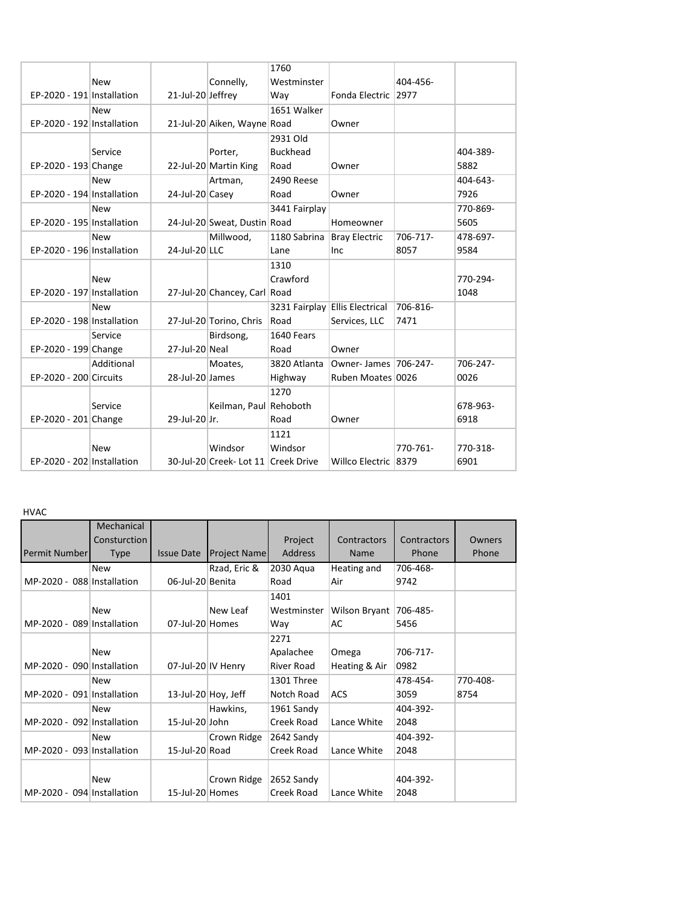|                            |            |                   |                                     | 1760            |                                       |          |          |
|----------------------------|------------|-------------------|-------------------------------------|-----------------|---------------------------------------|----------|----------|
|                            | <b>New</b> |                   | Connelly,                           | Westminster     |                                       | 404-456- |          |
| EP-2020 - 191 Installation |            | 21-Jul-20 Jeffrey |                                     | Way             | Fonda Electric 2977                   |          |          |
|                            | <b>New</b> |                   |                                     | 1651 Walker     |                                       |          |          |
| EP-2020 - 192 Installation |            |                   | 21-Jul-20 Aiken, Wayne Road         |                 | Owner                                 |          |          |
|                            |            |                   |                                     | 2931 Old        |                                       |          |          |
|                            | Service    |                   | Porter,                             | <b>Buckhead</b> |                                       |          | 404-389- |
| EP-2020 - 193 Change       |            |                   | 22-Jul-20 Martin King               | Road            | Owner                                 |          | 5882     |
|                            | <b>New</b> |                   | Artman,                             | 2490 Reese      |                                       |          | 404-643- |
| EP-2020 - 194 Installation |            | 24-Jul-20 Casey   |                                     | Road            | Owner                                 |          | 7926     |
|                            | <b>New</b> |                   |                                     | 3441 Fairplay   |                                       |          | 770-869- |
| EP-2020 - 195 Installation |            |                   | 24-Jul-20 Sweat, Dustin Road        |                 | Homeowner                             |          | 5605     |
|                            | <b>New</b> |                   | Millwood,                           | 1180 Sabrina    | <b>Bray Electric</b>                  | 706-717- | 478-697- |
| EP-2020 - 196 Installation |            | 24-Jul-20 LLC     |                                     | Lane            | Inc                                   | 8057     | 9584     |
|                            |            |                   |                                     | 1310            |                                       |          |          |
|                            | <b>New</b> |                   |                                     | Crawford        |                                       |          | 770-294- |
| EP-2020 - 197 Installation |            |                   | 27-Jul-20 Chancey, Carl Road        |                 |                                       |          | 1048     |
|                            | <b>New</b> |                   |                                     |                 | 3231 Fairplay Ellis Electrical        | 706-816- |          |
| EP-2020 - 198 Installation |            |                   | 27-Jul-20 Torino, Chris             | Road            | Services, LLC                         | 7471     |          |
|                            | Service    |                   | Birdsong,                           | 1640 Fears      |                                       |          |          |
| EP-2020 - 199 Change       |            | 27-Jul-20 Neal    |                                     | Road            | Owner                                 |          |          |
|                            | Additional |                   | Moates,                             |                 | 3820 Atlanta   Owner-James   706-247- |          | 706-247- |
| EP-2020 - 200 Circuits     |            | 28-Jul-20 James   |                                     | Highway         | Ruben Moates 0026                     |          | 0026     |
|                            |            |                   |                                     | 1270            |                                       |          |          |
|                            | Service    |                   | Keilman, Paul Rehoboth              |                 |                                       |          | 678-963- |
| EP-2020 - 201 Change       |            | 29-Jul-20 Jr.     |                                     | Road            | Owner                                 |          | 6918     |
|                            |            |                   |                                     | 1121            |                                       |          |          |
|                            | <b>New</b> |                   | Windsor                             | Windsor         |                                       | 770-761- | 770-318- |
| EP-2020 - 202 Installation |            |                   | 30-Jul-20 Creek- Lot 11 Creek Drive |                 | Willco Electric 8379                  |          | 6901     |

## HVAC

|                            | Mechanical   |                   |                       |                |                    |             |          |
|----------------------------|--------------|-------------------|-----------------------|----------------|--------------------|-------------|----------|
|                            | Consturction |                   |                       | Project        | <b>Contractors</b> | Contractors | Owners   |
| Permit Number              | <b>Type</b>  | <b>Issue Date</b> | <b>Project Name</b>   | <b>Address</b> | <b>Name</b>        | Phone       | Phone    |
|                            | <b>New</b>   |                   | Rzad, Eric &          | 2030 Agua      | Heating and        | 706-468-    |          |
| MP-2020 - 088 Installation |              | 06-Jul-20 Benita  |                       | Road           | Air                | 9742        |          |
|                            |              |                   |                       | 1401           |                    |             |          |
|                            | <b>New</b>   |                   | New Leaf              | Westminster    | Wilson Bryant      | 706-485-    |          |
| MP-2020 - 089 Installation |              | 07-Jul-20 Homes   |                       | Way            | AC                 | 5456        |          |
|                            |              |                   |                       | 2271           |                    |             |          |
|                            | <b>New</b>   |                   |                       | Apalachee      | Omega              | 706-717-    |          |
| MP-2020 - 090 Installation |              |                   | 07-Jul-20 IV Henry    | River Road     | Heating & Air      | 0982        |          |
|                            | <b>New</b>   |                   |                       | 1301 Three     |                    | 478-454-    | 770-408- |
| MP-2020 - 091 Installation |              |                   | 13-Jul-20 $Hoy, Jeff$ | Notch Road     | <b>ACS</b>         | 3059        | 8754     |
|                            | <b>New</b>   |                   | Hawkins,              | 1961 Sandy     |                    | 404-392-    |          |
| MP-2020 - 092 Installation |              | 15-Jul-20 John    |                       | Creek Road     | Lance White        | 2048        |          |
|                            | <b>New</b>   |                   | Crown Ridge           | 2642 Sandy     |                    | 404-392-    |          |
| MP-2020 - 093 Installation |              | 15-Jul-20 Road    |                       | Creek Road     | Lance White        | 2048        |          |
|                            |              |                   |                       |                |                    |             |          |
|                            | <b>New</b>   |                   | Crown Ridge           | 2652 Sandy     |                    | 404-392-    |          |
| MP-2020 - 094 Installation |              | 15-Jul-20 Homes   |                       | Creek Road     | Lance White        | 2048        |          |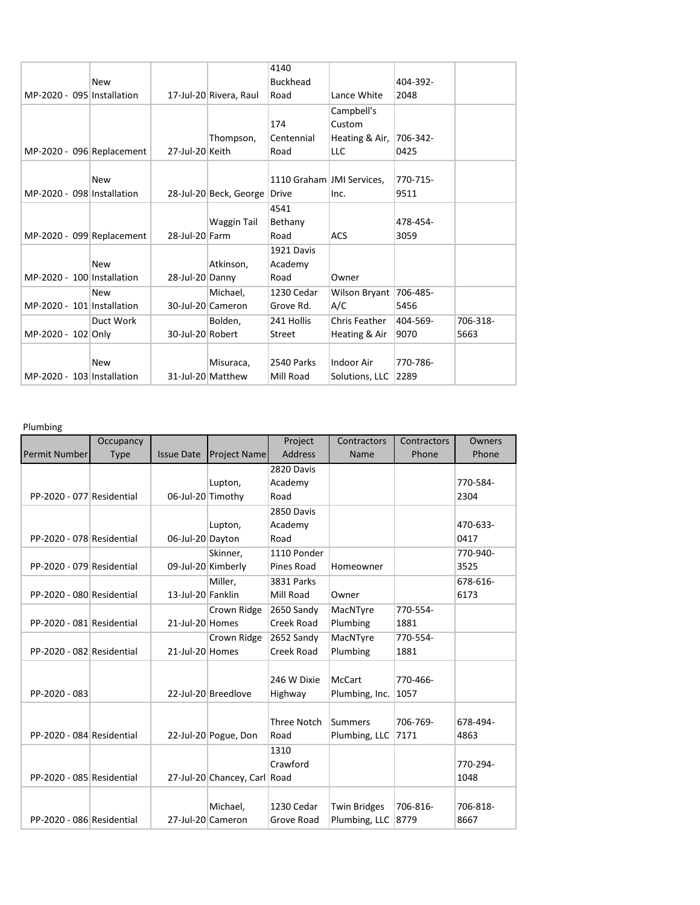|                            |            |                  |                        | 4140                      |                        |          |          |
|----------------------------|------------|------------------|------------------------|---------------------------|------------------------|----------|----------|
|                            | <b>New</b> |                  |                        | <b>Buckhead</b>           |                        | 404-392- |          |
| MP-2020 - 095 Installation |            |                  | 17-Jul-20 Rivera, Raul | Road                      | Lance White            | 2048     |          |
|                            |            |                  |                        |                           | Campbell's             |          |          |
|                            |            |                  |                        | 174                       | Custom                 |          |          |
|                            |            |                  | Thompson,              | Centennial                | Heating & Air,         | 706-342- |          |
| MP-2020 - 096 Replacement  |            | 27-Jul-20 Keith  |                        | Road                      | LLC                    | 0425     |          |
|                            |            |                  |                        |                           |                        |          |          |
|                            | <b>New</b> |                  |                        | 1110 Graham JMI Services, |                        | 770-715- |          |
| MP-2020 - 098 Installation |            |                  | 28-Jul-20 Beck, George | <b>Drive</b>              | Inc.                   | 9511     |          |
|                            |            |                  |                        | 4541                      |                        |          |          |
|                            |            |                  | Waggin Tail            | Bethany                   |                        | 478-454- |          |
| MP-2020 - 099 Replacement  |            | 28-Jul-20 Farm   |                        | Road                      | <b>ACS</b>             | 3059     |          |
|                            |            |                  |                        | 1921 Davis                |                        |          |          |
|                            | <b>New</b> |                  | Atkinson,              | Academy                   |                        |          |          |
| MP-2020 - 100 Installation |            | 28-Jul-20 Danny  |                        | Road                      | Owner                  |          |          |
|                            | <b>New</b> |                  | Michael,               | 1230 Cedar                | Wilson Bryant 706-485- |          |          |
| MP-2020 - 101 Installation |            |                  | 30-Jul-20 Cameron      | Grove Rd.                 | A/C                    | 5456     |          |
|                            | Duct Work  |                  | Bolden,                | 241 Hollis                | Chris Feather          | 404-569- | 706-318- |
| MP-2020 - 102 Only         |            | 30-Jul-20 Robert |                        | <b>Street</b>             | Heating & Air          | 9070     | 5663     |
|                            |            |                  |                        |                           |                        |          |          |
|                            | <b>New</b> |                  | Misuraca,              | 2540 Parks                | <b>Indoor Air</b>      | 770-786- |          |
| MP-2020 - 103 Installation |            |                  | 31-Jul-20 Matthew      | Mill Road                 | Solutions, LLC         | 2289     |          |

## Plumbing

|                           | Occupancy   |                   |                              | Project            | Contractors         | Contractors | Owners   |
|---------------------------|-------------|-------------------|------------------------------|--------------------|---------------------|-------------|----------|
| <b>Permit Number</b>      | <b>Type</b> | <b>Issue Date</b> | Project Name                 | <b>Address</b>     | Name                | Phone       | Phone    |
|                           |             |                   |                              | 2820 Davis         |                     |             |          |
|                           |             |                   | Lupton,                      | Academy            |                     |             | 770-584- |
| PP-2020 - 077 Residential |             | 06-Jul-20 Timothy |                              | Road               |                     |             | 2304     |
|                           |             |                   |                              | 2850 Davis         |                     |             |          |
|                           |             |                   | Lupton,                      | Academy            |                     |             | 470-633- |
| PP-2020 - 078 Residential |             | 06-Jul-20 Dayton  |                              | Road               |                     |             | 0417     |
|                           |             |                   | Skinner,                     | 1110 Ponder        |                     |             | 770-940- |
| PP-2020 - 079 Residential |             |                   | 09-Jul-20 Kimberly           | Pines Road         | Homeowner           |             | 3525     |
|                           |             |                   | Miller,                      | <b>3831 Parks</b>  |                     |             | 678-616- |
| PP-2020 - 080 Residential |             | 13-Jul-20 Fanklin |                              | Mill Road          | Owner               |             | 6173     |
|                           |             |                   | Crown Ridge                  | 2650 Sandy         | MacNTyre            | 770-554-    |          |
| PP-2020 - 081 Residential |             | 21-Jul-20 Homes   |                              | Creek Road         | Plumbing            | 1881        |          |
|                           |             |                   | Crown Ridge                  | 2652 Sandy         | MacNTyre            | 770-554-    |          |
| PP-2020 - 082 Residential |             | 21-Jul-20 Homes   |                              | Creek Road         | Plumbing            | 1881        |          |
|                           |             |                   |                              |                    |                     |             |          |
|                           |             |                   |                              | 246 W Dixie        | <b>McCart</b>       | 770-466-    |          |
| PP-2020 - 083             |             |                   | 22-Jul-20 Breedlove          | Highway            | Plumbing, Inc.      | 1057        |          |
|                           |             |                   |                              |                    |                     |             |          |
|                           |             |                   |                              | <b>Three Notch</b> | Summers             | 706-769-    | 678-494- |
| PP-2020 - 084 Residential |             |                   | 22-Jul-20 Pogue, Don         | Road               | Plumbing, LLC       | 7171        | 4863     |
|                           |             |                   |                              | 1310               |                     |             |          |
|                           |             |                   |                              | Crawford           |                     |             | 770-294- |
| PP-2020 - 085 Residential |             |                   | 27-Jul-20 Chancey, Carl Road |                    |                     |             | 1048     |
|                           |             |                   |                              |                    |                     |             |          |
|                           |             |                   | Michael,                     | 1230 Cedar         | <b>Twin Bridges</b> | 706-816-    | 706-818- |
| PP-2020 - 086 Residential |             |                   | 27-Jul-20 Cameron            | Grove Road         | Plumbing, LLC       | 8779        | 8667     |